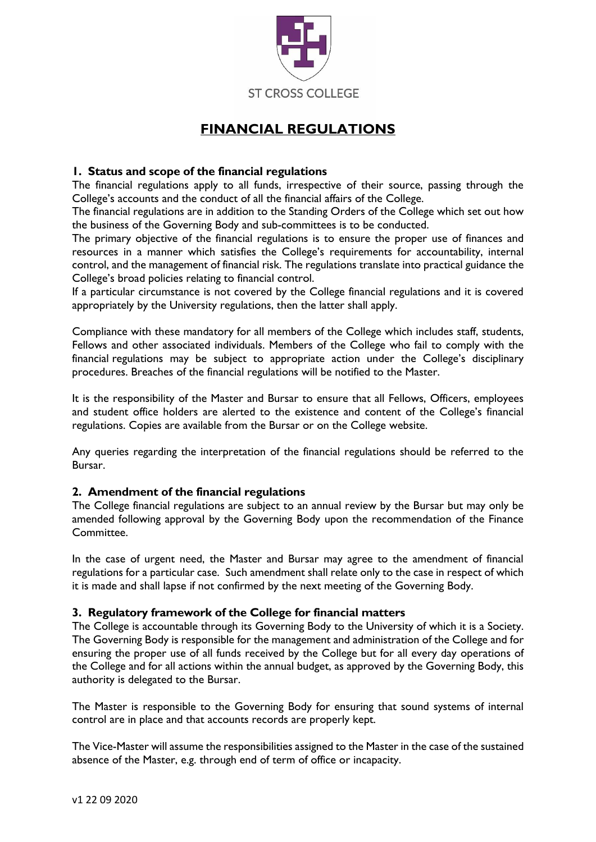

# **FINANCIAL REGULATIONS**

# **1. Status and scope of the financial regulations**

The financial regulations apply to all funds, irrespective of their source, passing through the College's accounts and the conduct of all the financial affairs of the College.

The financial regulations are in addition to the Standing Orders of the College which set out how the business of the Governing Body and sub-committees is to be conducted.

The primary objective of the financial regulations is to ensure the proper use of finances and resources in a manner which satisfies the College's requirements for accountability, internal control, and the management of financial risk. The regulations translate into practical guidance the College's broad policies relating to financial control.

If a particular circumstance is not covered by the College financial regulations and it is covered appropriately by the University regulations, then the latter shall apply.

Compliance with these mandatory for all members of the College which includes staff, students, Fellows and other associated individuals. Members of the College who fail to comply with the financial regulations may be subject to appropriate action under the College's disciplinary procedures. Breaches of the financial regulations will be notified to the Master.

It is the responsibility of the Master and Bursar to ensure that all Fellows, Officers, employees and student office holders are alerted to the existence and content of the College's financial regulations. Copies are available from the Bursar or on the College website.

Any queries regarding the interpretation of the financial regulations should be referred to the Bursar.

# **2. Amendment of the financial regulations**

The College financial regulations are subject to an annual review by the Bursar but may only be amended following approval by the Governing Body upon the recommendation of the Finance Committee.

In the case of urgent need, the Master and Bursar may agree to the amendment of financial regulations for a particular case. Such amendment shall relate only to the case in respect of which it is made and shall lapse if not confirmed by the next meeting of the Governing Body.

# **3. Regulatory framework of the College for financial matters**

The College is accountable through its Governing Body to the University of which it is a Society. The Governing Body is responsible for the management and administration of the College and for ensuring the proper use of all funds received by the College but for all every day operations of the College and for all actions within the annual budget, as approved by the Governing Body, this authority is delegated to the Bursar.

The Master is responsible to the Governing Body for ensuring that sound systems of internal control are in place and that accounts records are properly kept.

The Vice-Master will assume the responsibilities assigned to the Master in the case of the sustained absence of the Master, e.g. through end of term of office or incapacity.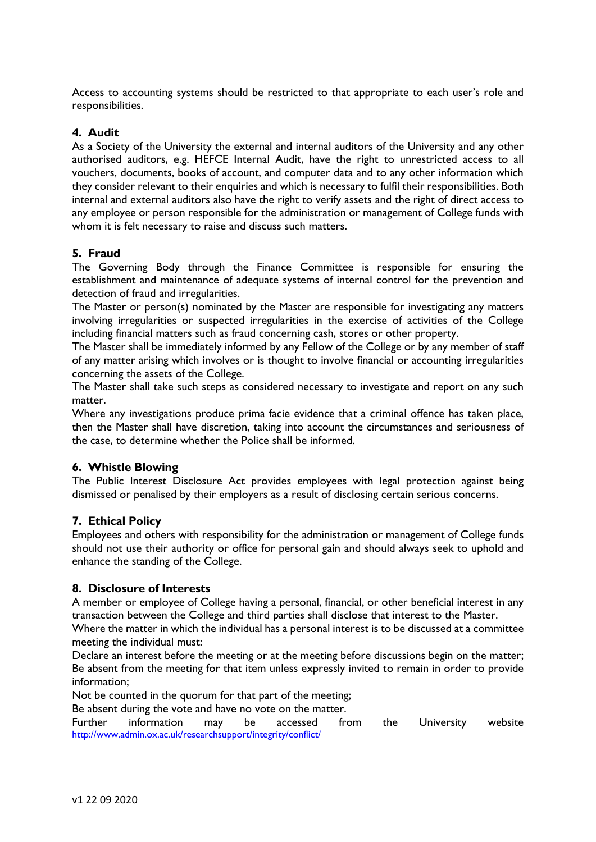Access to accounting systems should be restricted to that appropriate to each user's role and responsibilities.

# **4. Audit**

As a Society of the University the external and internal auditors of the University and any other authorised auditors, e.g. HEFCE Internal Audit, have the right to unrestricted access to all vouchers, documents, books of account, and computer data and to any other information which they consider relevant to their enquiries and which is necessary to fulfil their responsibilities. Both internal and external auditors also have the right to verify assets and the right of direct access to any employee or person responsible for the administration or management of College funds with whom it is felt necessary to raise and discuss such matters.

# **5. Fraud**

The Governing Body through the Finance Committee is responsible for ensuring the establishment and maintenance of adequate systems of internal control for the prevention and detection of fraud and irregularities.

The Master or person(s) nominated by the Master are responsible for investigating any matters involving irregularities or suspected irregularities in the exercise of activities of the College including financial matters such as fraud concerning cash, stores or other property.

The Master shall be immediately informed by any Fellow of the College or by any member of staff of any matter arising which involves or is thought to involve financial or accounting irregularities concerning the assets of the College.

The Master shall take such steps as considered necessary to investigate and report on any such matter.

Where any investigations produce prima facie evidence that a criminal offence has taken place, then the Master shall have discretion, taking into account the circumstances and seriousness of the case, to determine whether the Police shall be informed.

# **6. Whistle Blowing**

The Public Interest Disclosure Act provides employees with legal protection against being dismissed or penalised by their employers as a result of disclosing certain serious concerns.

# **7. Ethical Policy**

Employees and others with responsibility for the administration or management of College funds should not use their authority or office for personal gain and should always seek to uphold and enhance the standing of the College.

# **8. Disclosure of Interests**

A member or employee of College having a personal, financial, or other beneficial interest in any transaction between the College and third parties shall disclose that interest to the Master.

Where the matter in which the individual has a personal interest is to be discussed at a committee meeting the individual must:

Declare an interest before the meeting or at the meeting before discussions begin on the matter; Be absent from the meeting for that item unless expressly invited to remain in order to provide information;

Not be counted in the quorum for that part of the meeting;

Be absent during the vote and have no vote on the matter.

Further information may be accessed from the University website <http://www.admin.ox.ac.uk/researchsupport/integrity/conflict/>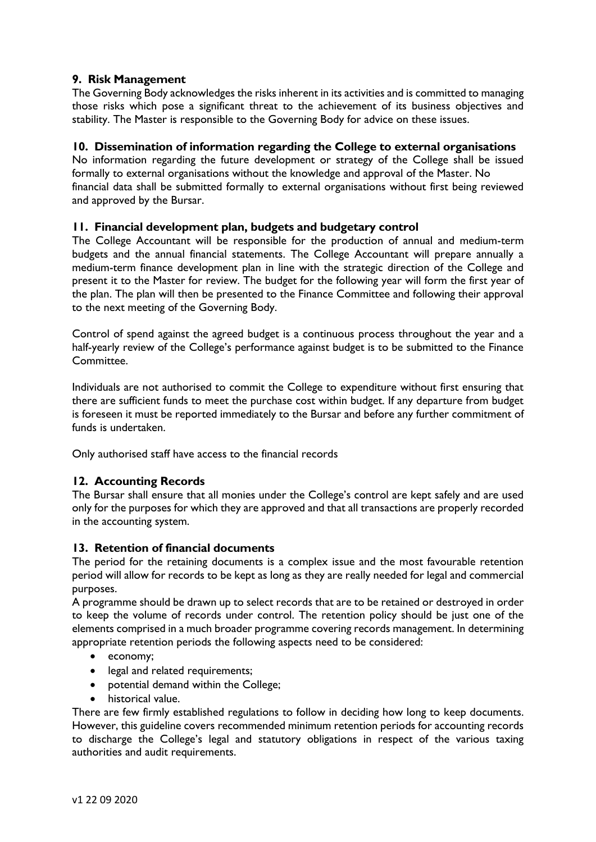# **9. Risk Management**

The Governing Body acknowledges the risks inherent in its activities and is committed to managing those risks which pose a significant threat to the achievement of its business objectives and stability. The Master is responsible to the Governing Body for advice on these issues.

# **10. Dissemination of information regarding the College to external organisations**

No information regarding the future development or strategy of the College shall be issued formally to external organisations without the knowledge and approval of the Master. No financial data shall be submitted formally to external organisations without first being reviewed and approved by the Bursar.

# **11. Financial development plan, budgets and budgetary control**

The College Accountant will be responsible for the production of annual and medium-term budgets and the annual financial statements. The College Accountant will prepare annually a medium-term finance development plan in line with the strategic direction of the College and present it to the Master for review. The budget for the following year will form the first year of the plan. The plan will then be presented to the Finance Committee and following their approval to the next meeting of the Governing Body.

Control of spend against the agreed budget is a continuous process throughout the year and a half-yearly review of the College's performance against budget is to be submitted to the Finance Committee.

Individuals are not authorised to commit the College to expenditure without first ensuring that there are sufficient funds to meet the purchase cost within budget. If any departure from budget is foreseen it must be reported immediately to the Bursar and before any further commitment of funds is undertaken.

Only authorised staff have access to the financial records

# **12. Accounting Records**

The Bursar shall ensure that all monies under the College's control are kept safely and are used only for the purposes for which they are approved and that all transactions are properly recorded in the accounting system.

# **13. Retention of financial documents**

The period for the retaining documents is a complex issue and the most favourable retention period will allow for records to be kept as long as they are really needed for legal and commercial purposes.

A programme should be drawn up to select records that are to be retained or destroyed in order to keep the volume of records under control. The retention policy should be just one of the elements comprised in a much broader programme covering records management. In determining appropriate retention periods the following aspects need to be considered:

- economy;
- legal and related requirements;
- potential demand within the College;
- historical value.

There are few firmly established regulations to follow in deciding how long to keep documents. However, this guideline covers recommended minimum retention periods for accounting records to discharge the College's legal and statutory obligations in respect of the various taxing authorities and audit requirements.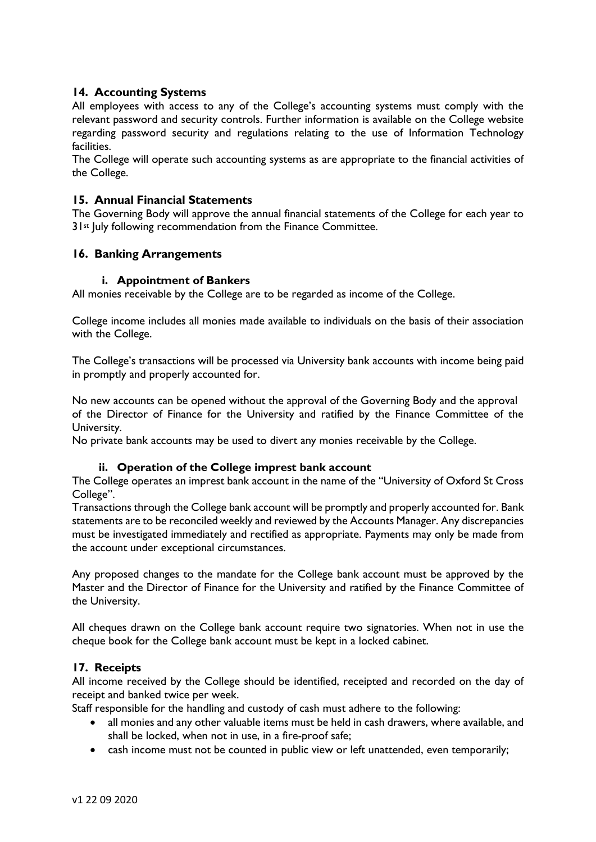# **14. Accounting Systems**

All employees with access to any of the College's accounting systems must comply with the relevant password and security controls. Further information is available on the College website regarding password security and regulations relating to the use of Information Technology facilities.

The College will operate such accounting systems as are appropriate to the financial activities of the College.

#### **15. Annual Financial Statements**

The Governing Body will approve the annual financial statements of the College for each year to 31<sup>st</sup> July following recommendation from the Finance Committee.

#### **16. Banking Arrangements**

#### **i. Appointment of Bankers**

All monies receivable by the College are to be regarded as income of the College.

College income includes all monies made available to individuals on the basis of their association with the College.

The College's transactions will be processed via University bank accounts with income being paid in promptly and properly accounted for.

No new accounts can be opened without the approval of the Governing Body and the approval of the Director of Finance for the University and ratified by the Finance Committee of the University.

No private bank accounts may be used to divert any monies receivable by the College.

#### **ii. Operation of the College imprest bank account**

The College operates an imprest bank account in the name of the "University of Oxford St Cross College".

Transactions through the College bank account will be promptly and properly accounted for. Bank statements are to be reconciled weekly and reviewed by the Accounts Manager. Any discrepancies must be investigated immediately and rectified as appropriate. Payments may only be made from the account under exceptional circumstances.

Any proposed changes to the mandate for the College bank account must be approved by the Master and the Director of Finance for the University and ratified by the Finance Committee of the University.

All cheques drawn on the College bank account require two signatories. When not in use the cheque book for the College bank account must be kept in a locked cabinet.

# **17. Receipts**

All income received by the College should be identified, receipted and recorded on the day of receipt and banked twice per week.

Staff responsible for the handling and custody of cash must adhere to the following:

- all monies and any other valuable items must be held in cash drawers, where available, and shall be locked, when not in use, in a fire-proof safe;
- cash income must not be counted in public view or left unattended, even temporarily;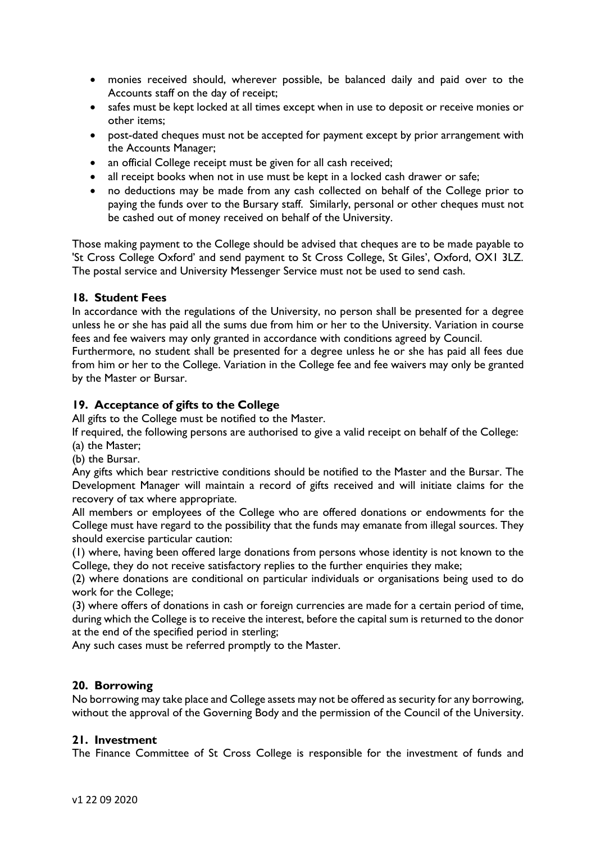- monies received should, wherever possible, be balanced daily and paid over to the Accounts staff on the day of receipt;
- safes must be kept locked at all times except when in use to deposit or receive monies or other items;
- post-dated cheques must not be accepted for payment except by prior arrangement with the Accounts Manager;
- an official College receipt must be given for all cash received;
- all receipt books when not in use must be kept in a locked cash drawer or safe;
- no deductions may be made from any cash collected on behalf of the College prior to paying the funds over to the Bursary staff. Similarly, personal or other cheques must not be cashed out of money received on behalf of the University.

Those making payment to the College should be advised that cheques are to be made payable to 'St Cross College Oxford' and send payment to St Cross College, St Giles', Oxford, OX1 3LZ. The postal service and University Messenger Service must not be used to send cash.

# **18. Student Fees**

In accordance with the regulations of the University, no person shall be presented for a degree unless he or she has paid all the sums due from him or her to the University. Variation in course fees and fee waivers may only granted in accordance with conditions agreed by Council.

Furthermore, no student shall be presented for a degree unless he or she has paid all fees due from him or her to the College. Variation in the College fee and fee waivers may only be granted by the Master or Bursar.

# **19. Acceptance of gifts to the College**

All gifts to the College must be notified to the Master.

If required, the following persons are authorised to give a valid receipt on behalf of the College: (a) the Master;

(b) the Bursar.

Any gifts which bear restrictive conditions should be notified to the Master and the Bursar. The Development Manager will maintain a record of gifts received and will initiate claims for the recovery of tax where appropriate.

All members or employees of the College who are offered donations or endowments for the College must have regard to the possibility that the funds may emanate from illegal sources. They should exercise particular caution:

(1) where, having been offered large donations from persons whose identity is not known to the College, they do not receive satisfactory replies to the further enquiries they make;

(2) where donations are conditional on particular individuals or organisations being used to do work for the College;

(3) where offers of donations in cash or foreign currencies are made for a certain period of time, during which the College is to receive the interest, before the capital sum is returned to the donor at the end of the specified period in sterling;

Any such cases must be referred promptly to the Master.

# **20. Borrowing**

No borrowing may take place and College assets may not be offered as security for any borrowing, without the approval of the Governing Body and the permission of the Council of the University.

# **21. Investment**

The Finance Committee of St Cross College is responsible for the investment of funds and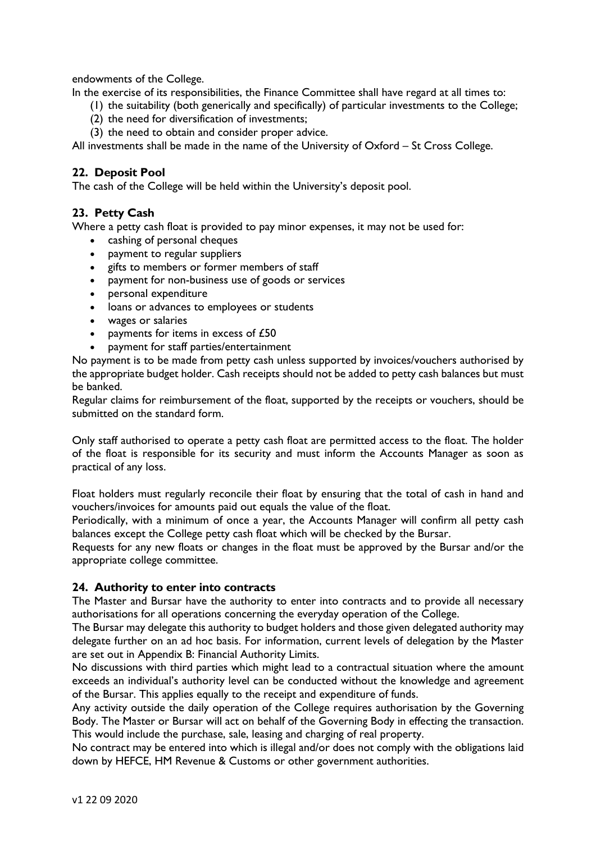endowments of the College.

In the exercise of its responsibilities, the Finance Committee shall have regard at all times to:

- (1) the suitability (both generically and specifically) of particular investments to the College;
- (2) the need for diversification of investments;
- (3) the need to obtain and consider proper advice.

All investments shall be made in the name of the University of Oxford – St Cross College.

# **22. Deposit Pool**

The cash of the College will be held within the University's deposit pool.

# **23. Petty Cash**

Where a petty cash float is provided to pay minor expenses, it may not be used for:

- cashing of personal cheques
- payment to regular suppliers
- gifts to members or former members of staff
- payment for non-business use of goods or services
- personal expenditure
- loans or advances to employees or students
- wages or salaries
- payments for items in excess of £50
- payment for staff parties/entertainment

No payment is to be made from petty cash unless supported by invoices/vouchers authorised by the appropriate budget holder. Cash receipts should not be added to petty cash balances but must be banked.

Regular claims for reimbursement of the float, supported by the receipts or vouchers, should be submitted on the standard form.

Only staff authorised to operate a petty cash float are permitted access to the float. The holder of the float is responsible for its security and must inform the Accounts Manager as soon as practical of any loss.

Float holders must regularly reconcile their float by ensuring that the total of cash in hand and vouchers/invoices for amounts paid out equals the value of the float.

Periodically, with a minimum of once a year, the Accounts Manager will confirm all petty cash balances except the College petty cash float which will be checked by the Bursar.

Requests for any new floats or changes in the float must be approved by the Bursar and/or the appropriate college committee.

# **24. Authority to enter into contracts**

The Master and Bursar have the authority to enter into contracts and to provide all necessary authorisations for all operations concerning the everyday operation of the College.

The Bursar may delegate this authority to budget holders and those given delegated authority may delegate further on an ad hoc basis. For information, current levels of delegation by the Master are set out in Appendix B: Financial Authority Limits.

No discussions with third parties which might lead to a contractual situation where the amount exceeds an individual's authority level can be conducted without the knowledge and agreement of the Bursar. This applies equally to the receipt and expenditure of funds.

Any activity outside the daily operation of the College requires authorisation by the Governing Body. The Master or Bursar will act on behalf of the Governing Body in effecting the transaction. This would include the purchase, sale, leasing and charging of real property.

No contract may be entered into which is illegal and/or does not comply with the obligations laid down by HEFCE, HM Revenue & Customs or other government authorities.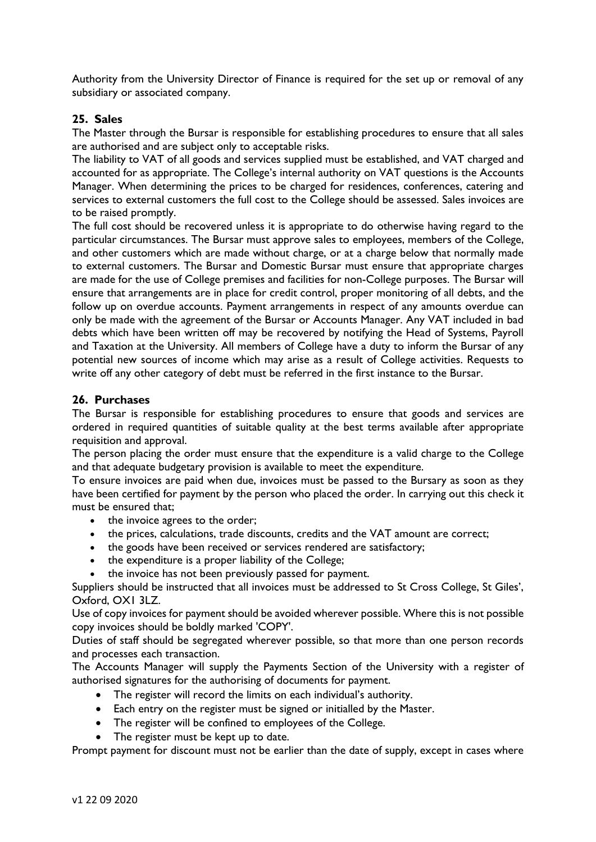Authority from the University Director of Finance is required for the set up or removal of any subsidiary or associated company.

# **25. Sales**

The Master through the Bursar is responsible for establishing procedures to ensure that all sales are authorised and are subject only to acceptable risks.

The liability to VAT of all goods and services supplied must be established, and VAT charged and accounted for as appropriate. The College's internal authority on VAT questions is the Accounts Manager. When determining the prices to be charged for residences, conferences, catering and services to external customers the full cost to the College should be assessed. Sales invoices are to be raised promptly.

The full cost should be recovered unless it is appropriate to do otherwise having regard to the particular circumstances. The Bursar must approve sales to employees, members of the College, and other customers which are made without charge, or at a charge below that normally made to external customers. The Bursar and Domestic Bursar must ensure that appropriate charges are made for the use of College premises and facilities for non-College purposes. The Bursar will ensure that arrangements are in place for credit control, proper monitoring of all debts, and the follow up on overdue accounts. Payment arrangements in respect of any amounts overdue can only be made with the agreement of the Bursar or Accounts Manager. Any VAT included in bad debts which have been written off may be recovered by notifying the Head of Systems, Payroll and Taxation at the University. All members of College have a duty to inform the Bursar of any potential new sources of income which may arise as a result of College activities. Requests to write off any other category of debt must be referred in the first instance to the Bursar.

#### **26. Purchases**

The Bursar is responsible for establishing procedures to ensure that goods and services are ordered in required quantities of suitable quality at the best terms available after appropriate requisition and approval.

The person placing the order must ensure that the expenditure is a valid charge to the College and that adequate budgetary provision is available to meet the expenditure.

To ensure invoices are paid when due, invoices must be passed to the Bursary as soon as they have been certified for payment by the person who placed the order. In carrying out this check it must be ensured that;

- the invoice agrees to the order;
- the prices, calculations, trade discounts, credits and the VAT amount are correct;
- the goods have been received or services rendered are satisfactory;
- the expenditure is a proper liability of the College;
- the invoice has not been previously passed for payment.

Suppliers should be instructed that all invoices must be addressed to St Cross College, St Giles', Oxford, OX1 3LZ.

Use of copy invoices for payment should be avoided wherever possible. Where this is not possible copy invoices should be boldly marked 'COPY'.

Duties of staff should be segregated wherever possible, so that more than one person records and processes each transaction.

The Accounts Manager will supply the Payments Section of the University with a register of authorised signatures for the authorising of documents for payment.

- The register will record the limits on each individual's authority.
- Each entry on the register must be signed or initialled by the Master.
- The register will be confined to employees of the College.
- The register must be kept up to date.

Prompt payment for discount must not be earlier than the date of supply, except in cases where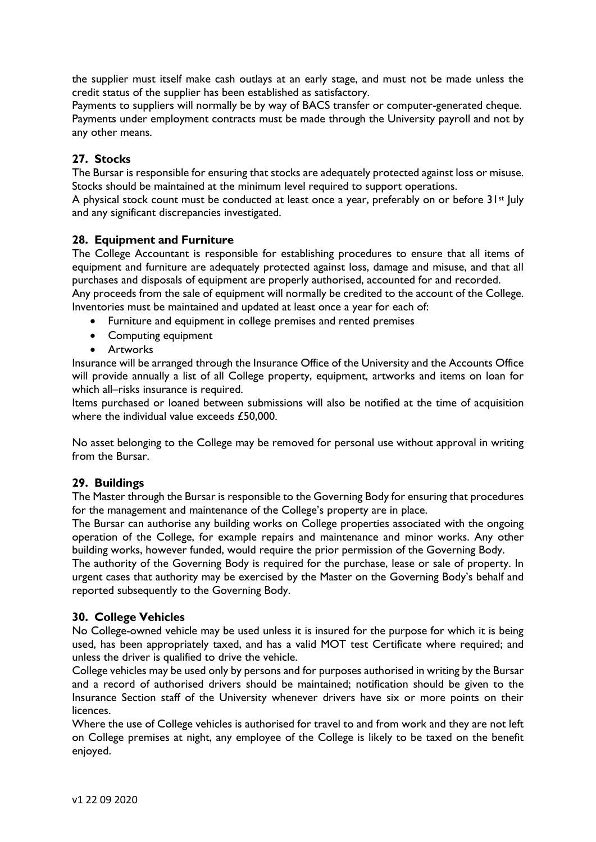the supplier must itself make cash outlays at an early stage, and must not be made unless the credit status of the supplier has been established as satisfactory.

Payments to suppliers will normally be by way of BACS transfer or computer-generated cheque. Payments under employment contracts must be made through the University payroll and not by any other means.

# **27. Stocks**

The Bursar is responsible for ensuring that stocks are adequately protected against loss or misuse. Stocks should be maintained at the minimum level required to support operations.

A physical stock count must be conducted at least once a year, preferably on or before 31<sup>st</sup> July and any significant discrepancies investigated.

#### **28. Equipment and Furniture**

The College Accountant is responsible for establishing procedures to ensure that all items of equipment and furniture are adequately protected against loss, damage and misuse, and that all purchases and disposals of equipment are properly authorised, accounted for and recorded.

Any proceeds from the sale of equipment will normally be credited to the account of the College. Inventories must be maintained and updated at least once a year for each of:

- Furniture and equipment in college premises and rented premises
- Computing equipment
- Artworks

Insurance will be arranged through the Insurance Office of the University and the Accounts Office will provide annually a list of all College property, equipment, artworks and items on loan for which all–risks insurance is required.

Items purchased or loaned between submissions will also be notified at the time of acquisition where the individual value exceeds £50,000.

No asset belonging to the College may be removed for personal use without approval in writing from the Bursar.

# **29. Buildings**

The Master through the Bursar is responsible to the Governing Body for ensuring that procedures for the management and maintenance of the College's property are in place.

The Bursar can authorise any building works on College properties associated with the ongoing operation of the College, for example repairs and maintenance and minor works. Any other building works, however funded, would require the prior permission of the Governing Body.

The authority of the Governing Body is required for the purchase, lease or sale of property. In urgent cases that authority may be exercised by the Master on the Governing Body's behalf and reported subsequently to the Governing Body.

#### **30. College Vehicles**

No College-owned vehicle may be used unless it is insured for the purpose for which it is being used, has been appropriately taxed, and has a valid MOT test Certificate where required; and unless the driver is qualified to drive the vehicle.

College vehicles may be used only by persons and for purposes authorised in writing by the Bursar and a record of authorised drivers should be maintained; notification should be given to the Insurance Section staff of the University whenever drivers have six or more points on their licences.

Where the use of College vehicles is authorised for travel to and from work and they are not left on College premises at night, any employee of the College is likely to be taxed on the benefit enjoyed.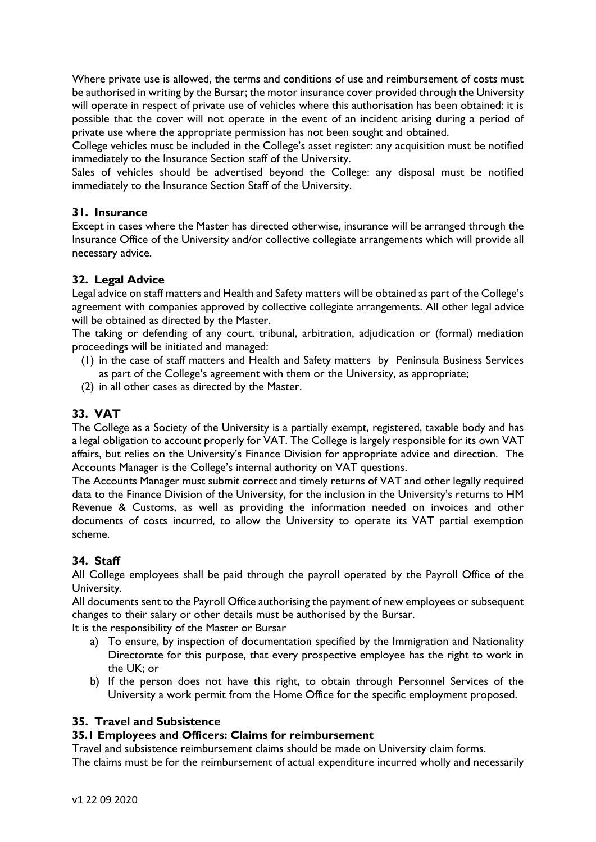Where private use is allowed, the terms and conditions of use and reimbursement of costs must be authorised in writing by the Bursar; the motor insurance cover provided through the University will operate in respect of private use of vehicles where this authorisation has been obtained: it is possible that the cover will not operate in the event of an incident arising during a period of private use where the appropriate permission has not been sought and obtained.

College vehicles must be included in the College's asset register: any acquisition must be notified immediately to the Insurance Section staff of the University.

Sales of vehicles should be advertised beyond the College: any disposal must be notified immediately to the Insurance Section Staff of the University.

# **31. Insurance**

Except in cases where the Master has directed otherwise, insurance will be arranged through the Insurance Office of the University and/or collective collegiate arrangements which will provide all necessary advice.

# **32. Legal Advice**

Legal advice on staff matters and Health and Safety matters will be obtained as part of the College's agreement with companies approved by collective collegiate arrangements. All other legal advice will be obtained as directed by the Master.

The taking or defending of any court, tribunal, arbitration, adjudication or (formal) mediation proceedings will be initiated and managed:

- (1) in the case of staff matters and Health and Safety matters by Peninsula Business Services as part of the College's agreement with them or the University, as appropriate;
- (2) in all other cases as directed by the Master.

# **33. VAT**

The College as a Society of the University is a partially exempt, registered, taxable body and has a legal obligation to account properly for VAT. The College is largely responsible for its own VAT affairs, but relies on the University's Finance Division for appropriate advice and direction. The Accounts Manager is the College's internal authority on VAT questions.

The Accounts Manager must submit correct and timely returns of VAT and other legally required data to the Finance Division of the University, for the inclusion in the University's returns to HM Revenue & Customs, as well as providing the information needed on invoices and other documents of costs incurred, to allow the University to operate its VAT partial exemption scheme.

# **34. Staff**

All College employees shall be paid through the payroll operated by the Payroll Office of the University.

All documents sent to the Payroll Office authorising the payment of new employees or subsequent changes to their salary or other details must be authorised by the Bursar.

It is the responsibility of the Master or Bursar

- a) To ensure, by inspection of documentation specified by the Immigration and Nationality Directorate for this purpose, that every prospective employee has the right to work in the UK; or
- b) If the person does not have this right, to obtain through Personnel Services of the University a work permit from the Home Office for the specific employment proposed.

# **35. Travel and Subsistence**

# **35.1 Employees and Officers: Claims for reimbursement**

Travel and subsistence reimbursement claims should be made on University claim forms. The claims must be for the reimbursement of actual expenditure incurred wholly and necessarily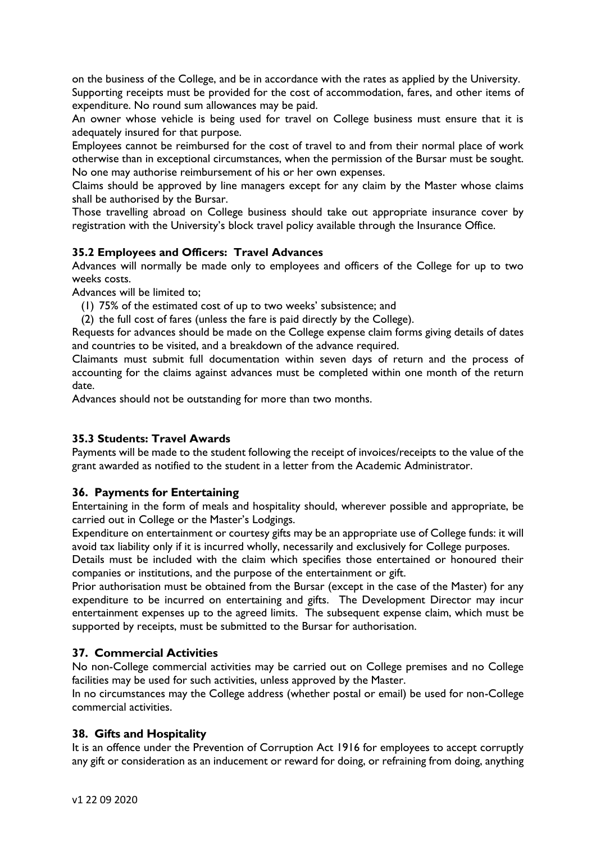on the business of the College, and be in accordance with the rates as applied by the University. Supporting receipts must be provided for the cost of accommodation, fares, and other items of expenditure. No round sum allowances may be paid.

An owner whose vehicle is being used for travel on College business must ensure that it is adequately insured for that purpose.

Employees cannot be reimbursed for the cost of travel to and from their normal place of work otherwise than in exceptional circumstances, when the permission of the Bursar must be sought. No one may authorise reimbursement of his or her own expenses.

Claims should be approved by line managers except for any claim by the Master whose claims shall be authorised by the Bursar.

Those travelling abroad on College business should take out appropriate insurance cover by registration with the University's block travel policy available through the Insurance Office.

# **35.2 Employees and Officers: Travel Advances**

Advances will normally be made only to employees and officers of the College for up to two weeks costs.

Advances will be limited to;

- (1) 75% of the estimated cost of up to two weeks' subsistence; and
- (2) the full cost of fares (unless the fare is paid directly by the College).

Requests for advances should be made on the College expense claim forms giving details of dates and countries to be visited, and a breakdown of the advance required.

Claimants must submit full documentation within seven days of return and the process of accounting for the claims against advances must be completed within one month of the return date.

Advances should not be outstanding for more than two months.

# **35.3 Students: Travel Awards**

Payments will be made to the student following the receipt of invoices/receipts to the value of the grant awarded as notified to the student in a letter from the Academic Administrator.

# **36. Payments for Entertaining**

Entertaining in the form of meals and hospitality should, wherever possible and appropriate, be carried out in College or the Master's Lodgings.

Expenditure on entertainment or courtesy gifts may be an appropriate use of College funds: it will avoid tax liability only if it is incurred wholly, necessarily and exclusively for College purposes.

Details must be included with the claim which specifies those entertained or honoured their companies or institutions, and the purpose of the entertainment or gift.

Prior authorisation must be obtained from the Bursar (except in the case of the Master) for any expenditure to be incurred on entertaining and gifts. The Development Director may incur entertainment expenses up to the agreed limits. The subsequent expense claim, which must be supported by receipts, must be submitted to the Bursar for authorisation.

# **37. Commercial Activities**

No non-College commercial activities may be carried out on College premises and no College facilities may be used for such activities, unless approved by the Master.

In no circumstances may the College address (whether postal or email) be used for non-College commercial activities.

# **38. Gifts and Hospitality**

It is an offence under the Prevention of Corruption Act 1916 for employees to accept corruptly any gift or consideration as an inducement or reward for doing, or refraining from doing, anything